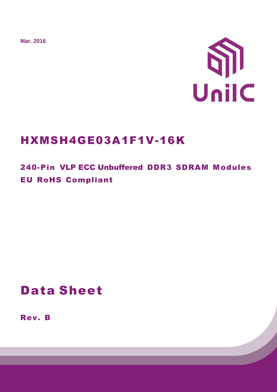**Mar. 2016**



# HXMSH4GE03A1F1V-16K

## 240-Pin VLP ECC Unbuffered DDR3 SDRAM Modules EU RoHS Compliant

# Data Sheet

Rev. B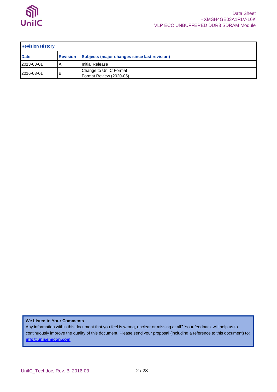

| <b>Revision History</b> |                 |                                                   |
|-------------------------|-----------------|---------------------------------------------------|
| <b>Date</b>             | <b>Revision</b> | Subjects (major changes since last revision)      |
| 2013-08-01              |                 | Initial Release                                   |
| 2016-03-01              | В               | Change to UnilC Format<br>Format Review (2020-05) |

### **We Listen to Your Comments**

Any information within this document that you feel is wrong, unclear or missing at all? Your feedback will help us to continuously improve the quality of this document. Please send your proposal (including a reference to this document) to: **[info@unisemicon.com](mailto:info@unisemicon.com)**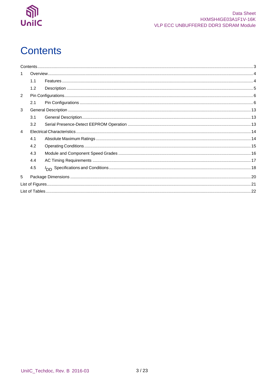

# <span id="page-2-0"></span>**Contents**

|                | 1.1 |  |  |  |  |  |  |
|----------------|-----|--|--|--|--|--|--|
|                | 1.2 |  |  |  |  |  |  |
| 2              |     |  |  |  |  |  |  |
|                | 2.1 |  |  |  |  |  |  |
| 3              |     |  |  |  |  |  |  |
|                | 3.1 |  |  |  |  |  |  |
|                | 3.2 |  |  |  |  |  |  |
| $\overline{4}$ |     |  |  |  |  |  |  |
|                | 4.1 |  |  |  |  |  |  |
|                | 4.2 |  |  |  |  |  |  |
|                | 4.3 |  |  |  |  |  |  |
|                | 4.4 |  |  |  |  |  |  |
|                | 4.5 |  |  |  |  |  |  |
| 5              |     |  |  |  |  |  |  |
|                |     |  |  |  |  |  |  |
|                |     |  |  |  |  |  |  |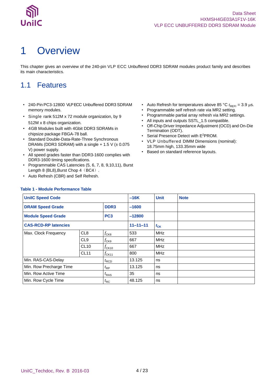

# <span id="page-3-0"></span>1 Overview

This chapter gives an overview of the 240-pin VLP ECC Unbuffered DDR3 SDRAM modules product family and describes its main characteristics.

### <span id="page-3-1"></span>1.1 Features

- 240-Pin PC3-12800 VLP ECC Unbuffered DDR3 SDRAM memory modules.
- Single rank 512M x 72 module organization, by 9 512M x 8 chips organization.
- 4GB Modules built with 4Gbit DDR3 SDRAMs in chipsize package FBGA-78 ball.
- Standard Double-Data-Rate-Three Synchronous DRAMs (DDR3 SDRAM) with a single  $+$  1.5 V ( $\pm$  0.075 V) power supply.
- All speed grades faster than DDR3-1600 complies with DDR3-1600 timing specifications.
- Programmable CAS Latencies (5, 6, 7, 8, 9,10,11), Burst Length 8 (BL8), Burst Chop 4 (BC4).
- Auto Refresh (CBR) and Self Refresh.
- Auto Refresh for temperatures above  $85 \degree C$   $t_{REFI} = 3.9 \text{ }\mu\text{s}$ .<br>• Programmable self refresh rate via MR2 setting
- Programmable self refresh rate via MR2 setting.
- Programmable partial array refresh via MR2 settings.
- All inputs and outputs SSTL\_1.5 compatible.
- Off-Chip Driver Impedance Adjustment (OCD) and On-Die Termination (ODT).
- Serial Presence Detect with E<sup>2</sup>PROM.
- VLP Unbuffered DIMM Dimensions (nominal): 18.75mm high, 133.35mm wide
- Based on standard reference layouts.

| <b>UnilC Speed Code</b>     |                 |                  | $-16K$         | <b>Unit</b> | <b>Note</b> |
|-----------------------------|-----------------|------------------|----------------|-------------|-------------|
| <b>DRAM Speed Grade</b>     |                 | DDR <sub>3</sub> | $-1600$        |             |             |
| <b>Module Speed Grade</b>   |                 | PC <sub>3</sub>  | $-12800$       |             |             |
| <b>CAS-RCD-RP latencies</b> |                 |                  | $11 - 11 - 11$ | $t_{CK}$    |             |
| Max. Clock Frequency        | CL <sub>8</sub> | $f_{CK8}$        | 533            | <b>MHz</b>  |             |
|                             | CL <sub>9</sub> | $f_{CK9}$        | 667            | <b>MHz</b>  |             |
|                             | <b>CL10</b>     | $f_{CK10}$       | 667            | MHz         |             |
|                             | <b>CL11</b>     | $f_{CK11}$       | 800            | <b>MHz</b>  |             |
| Min. RAS-CAS-Delay          |                 | $t_{\text{RCD}}$ | 13.125         | ns          |             |
| Min. Row Precharge Time     |                 | $t_{\sf RP}$     | 13.125         | ns          |             |
| Min. Row Active Time        |                 | $t_{\text{RAS}}$ | 35             | ns          |             |
| Min. Row Cycle Time         |                 | $t_{\sf RC}$     | 48.125         | ns          |             |

### <span id="page-3-2"></span>**Table 1 - Module Performance Table**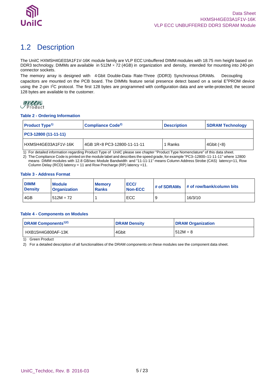

## <span id="page-4-0"></span>1.2 Description

The UniIC HXMSH4GE03A1F1V-16K module family are VLP ECC Unbuffered DIMM modules with 18.75 mm height based on DDR3 technology. DIMMs are available in 512M  $\times$ 72 (4GB) in organization and density, intended for mounting into 240-pin connector sockets.

The memory array is designed with 4 Gbit Double-Data- Rate-Three (DDR3) Synchronous DRAMs. Decoupling capacitors are mounted on the PCB board. The DIMMs feature serial presence detect based on a serial E<sup>2</sup>PROM device using the 2-pin I<sup>2</sup>C protocol. The first 128 bytes are programmed with configuration data and are write-protected; the second 128 bytes are available to the customer.

## green<br>Product

### <span id="page-4-1"></span>**Table 2 - Ordering Information**

| <b>Product Type</b> <sup>1)</sup> | Compliance Code <sup>2)</sup>  | <b>Description</b> | <b>SDRAM Technology</b> |
|-----------------------------------|--------------------------------|--------------------|-------------------------|
| PC3-12800 (11-11-11)              |                                |                    |                         |
| HXMSH4GE03A1F1V-16K               | l 4GB 1R ×8 PC3-12800-11-11-11 | 1 Ranks            | 4Gbit $(\times 8)$      |

1) For detailed information regarding Product Type of UniIC please see chapter "Product Type Nomenclature" of this data sheet. 2) The Compliance Code is printed on the module label and describes the speed grade, for example "PC3–12800–11-11-11" where 12800 means DIMM modules with 12.8 GB/sec Module Bandwidth and "11-11-11" means Column Address Strobe (CAS) latency=11, Row Column Delay (RCD) latency = 11 and Row Precharge (RP) latency =11.

### <span id="page-4-2"></span>**Table 3 - Address Format**

| <b>DIMM</b><br><b>Density</b> | <b>Module</b><br><b>Organization</b> | <b>Memory</b><br><b>Ranks</b> | ECC/<br>Non-ECC | # of SDRAMs | $\#$ of row/bank/column bits |
|-------------------------------|--------------------------------------|-------------------------------|-----------------|-------------|------------------------------|
| 4GB                           | 512M $\times$ 72                     |                               | ECC             |             | 16/3/10                      |

### <span id="page-4-3"></span>**Table 4 - Components on Modules**

| <b>DRAM Components</b> <sup>1)2)</sup> | <b>DRAM Density</b> | <b>DRAM Organization</b> |
|----------------------------------------|---------------------|--------------------------|
| HXB15H4G800AF-13K                      | 4Gbit               | 512M $\times$ 8          |

1) Green Product

2) For a detailed description of all functionalities of the DRAM components on these modules see the component data sheet.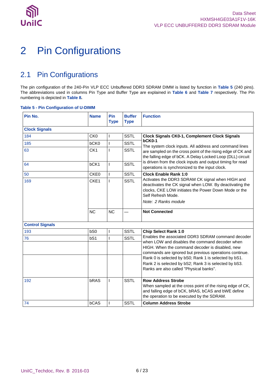

# <span id="page-5-0"></span>2 Pin Configurations

## <span id="page-5-1"></span>2.1 Pin Configurations

The pin configuration of the 240-Pin VLP ECC Unbuffered DDR3 SDRAM DIMM is listed by function in **[Table 5](#page-5-2)** (240 pins). The abbreviations used in columns Pin Type and Buffer Type are explained in **[Table 6](#page-10-0)** and **[Table 7](#page-10-1)** respectively. The Pin numbering is depicted in **[Table 8.](#page-11-0)**

### <span id="page-5-2"></span>**Table 5 - Pin Configuration of U-DIMM**

| Pin No.                | <b>Name</b>     | Pin<br><b>Type</b> | <b>Buffer</b><br><b>Type</b> | <b>Function</b>                                                                                                                                                                                                                                                                                                                                                               |
|------------------------|-----------------|--------------------|------------------------------|-------------------------------------------------------------------------------------------------------------------------------------------------------------------------------------------------------------------------------------------------------------------------------------------------------------------------------------------------------------------------------|
| <b>Clock Signals</b>   |                 |                    |                              |                                                                                                                                                                                                                                                                                                                                                                               |
| 184                    | CK <sub>0</sub> | L                  | <b>SSTL</b>                  | <b>Clock Signals CK0-1, Complement Clock Signals</b>                                                                                                                                                                                                                                                                                                                          |
| 185                    | bCK0            | $\overline{1}$     | <b>SSTL</b>                  | bCK0-1<br>The system clock inputs. All address and command lines                                                                                                                                                                                                                                                                                                              |
| 63                     | CK <sub>1</sub> | т                  | <b>SSTL</b>                  | are sampled on the cross point of the rising edge of CK and<br>the falling edge of bCK. A Delay Locked Loop (DLL) circuit                                                                                                                                                                                                                                                     |
| 64                     | bCK1            | T                  | <b>SSTL</b>                  | is driven from the clock inputs and output timing for read<br>operations is synchronized to the input clock.                                                                                                                                                                                                                                                                  |
| 50                     | CKE0            | $\mathbf{I}$       | <b>SSTL</b>                  | <b>Clock Enable Rank 1:0</b>                                                                                                                                                                                                                                                                                                                                                  |
| 169                    | CKE1            | $\overline{1}$     | <b>SSTL</b>                  | Activates the DDR3 SDRAM CK signal when HIGH and<br>deactivates the CK signal when LOW. By deactivating the<br>clocks, CKE LOW initiates the Power Down Mode or the<br>Self Refresh Mode.<br>Note: 2 Ranks module                                                                                                                                                             |
|                        | <b>NC</b>       | <b>NC</b>          |                              | <b>Not Connected</b>                                                                                                                                                                                                                                                                                                                                                          |
| <b>Control Signals</b> |                 |                    |                              |                                                                                                                                                                                                                                                                                                                                                                               |
| 193                    | bS <sub>0</sub> | T                  | <b>SSTL</b>                  | <b>Chip Select Rank 1:0</b>                                                                                                                                                                                                                                                                                                                                                   |
| 76                     | b <sub>S1</sub> | ı                  | <b>SSTL</b>                  | Enables the associated DDR3 SDRAM command decoder<br>when LOW and disables the command decoder when<br>HIGH. When the command decoder is disabled, new<br>commands are ignored but previous operations continue.<br>Rank 0 is selected by bS0; Rank 1 is selected by bS1.<br>Rank 2 is selected by bS2; Rank 3 is selected by bS3.<br>Ranks are also called "Physical banks". |
| 192                    | bRAS            | ı                  | <b>SSTL</b>                  | <b>Row Address Strobe</b><br>When sampled at the cross point of the rising edge of CK,<br>and falling edge of bCK, bRAS, bCAS and bWE define<br>the operation to be executed by the SDRAM.                                                                                                                                                                                    |
| 74                     | bCAS            | I                  | <b>SSTL</b>                  | <b>Column Address Strobe</b>                                                                                                                                                                                                                                                                                                                                                  |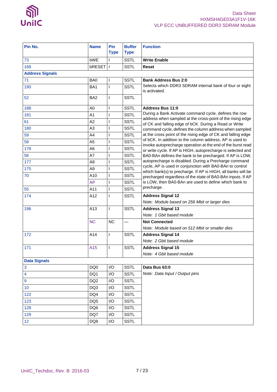

| Pin No.                | <b>Name</b>     | Pin<br><b>Type</b> | <b>Buffer</b><br><b>Type</b> | <b>Function</b>                                                                                                             |
|------------------------|-----------------|--------------------|------------------------------|-----------------------------------------------------------------------------------------------------------------------------|
| 73                     | bWE             |                    | <b>SSTL</b>                  | <b>Write Enable</b>                                                                                                         |
| 168                    | bRESET          | $\mathbf{I}$       | <b>SSTL</b>                  | <b>Reset</b>                                                                                                                |
| <b>Address Signals</b> |                 |                    |                              |                                                                                                                             |
| 71                     | BA0             | $\mathbf{I}$       | <b>SSTL</b>                  | <b>Bank Address Bus 2:0</b>                                                                                                 |
| 190                    | BA <sub>1</sub> | $\mathbf{I}$       | <b>SSTL</b>                  | Selects which DDR3 SDRAM internal bank of four or eight<br>is activated.                                                    |
| 52                     | BA <sub>2</sub> | T                  | <b>SSTL</b>                  |                                                                                                                             |
| 188                    | A <sub>0</sub>  | T                  | <b>SSTL</b>                  | <b>Address Bus 11:0</b>                                                                                                     |
| 181                    | A1              | T                  | <b>SSTL</b>                  | During a Bank Activate command cycle, defines the row                                                                       |
| 61                     | A2              |                    | <b>SSTL</b>                  | address when sampled at the cross-point of the rising edge<br>of CK and falling edge of bCK. During a Read or Write         |
| 180                    | A <sub>3</sub>  |                    | <b>SSTL</b>                  | command cycle, defines the column address when sampled                                                                      |
| 59                     | A4              | T                  | <b>SSTL</b>                  | at the cross point of the rising edge of CK and falling edge                                                                |
| 58                     | A <sub>5</sub>  | T                  | <b>SSTL</b>                  | of bCK. In addition to the column address, AP is used to                                                                    |
| 178                    | A6              | $\mathbf{I}$       | <b>SSTL</b>                  | invoke autoprecharge operation at the end of the burst read<br>or write cycle. If AP is HIGH, autoprecharge is selected and |
| 56                     | A7              | T                  | <b>SSTL</b>                  | BA0-BAn defines the bank to be precharged. If AP is LOW,                                                                    |
| 177                    | A8              |                    | <b>SSTL</b>                  | autoprecharge is disabled. During a Precharge command                                                                       |
| 175                    | A <sub>9</sub>  |                    | <b>SSTL</b>                  | cycle, AP is used in conjunction with BA0-BAn to control                                                                    |
| 70                     | A10             | T                  | <b>SSTL</b>                  | which bank(s) to precharge. If AP is HIGH, all banks will be<br>precharged regardless of the state of BA0-BAn inputs. If AP |
|                        | <b>AP</b>       | T                  | <b>SSTL</b>                  | is LOW, then BA0-BAn are used to define which bank to                                                                       |
| 55                     | A11             | T                  | <b>SSTL</b>                  | precharge.                                                                                                                  |
| 174                    | A12             | $\mathbf{I}$       | <b>SSTL</b>                  | <b>Address Signal 12</b><br>Note: Module based on 256 Mbit or larger dies                                                   |
| 196                    | A13             | $\mathbf{I}$       | <b>SSTL</b>                  | <b>Address Signal 13</b>                                                                                                    |
|                        |                 |                    |                              | Note: 1 Gbit based module                                                                                                   |
|                        | <b>NC</b>       | <b>NC</b>          | $\overline{\phantom{0}}$     | <b>Not Connected</b><br>Note: Module based on 512 Mbit or smaller dies                                                      |
| 172                    | A14             | T                  | <b>SSTL</b>                  | <b>Address Signal 14</b>                                                                                                    |
|                        |                 |                    |                              | Note: 2 Gbit based module                                                                                                   |
| 171                    | A15             | $\mathbf{I}$       | <b>SSTL</b>                  | <b>Address Signal 15</b>                                                                                                    |
|                        |                 |                    |                              | Note: 4 Gbit based module                                                                                                   |
| <b>Data Signals</b>    |                 |                    |                              |                                                                                                                             |
| 3                      | DQ0             | I/O                | <b>SSTL</b>                  | Data Bus 63:0                                                                                                               |
| 4                      | DQ1             | I/O                | <b>SSTL</b>                  | Note: Data Input / Output pins                                                                                              |
| $\overline{9}$         | DQ <sub>2</sub> | I/O                | <b>SSTL</b>                  |                                                                                                                             |
| 10                     | DQ3             | I/O                | <b>SSTL</b>                  |                                                                                                                             |
| 122                    | DQ4             | I/O                | <b>SSTL</b>                  |                                                                                                                             |
| 123                    | DQ <sub>5</sub> | I/O                | <b>SSTL</b>                  |                                                                                                                             |
| 128                    | DQ6             | I/O                | <b>SSTL</b>                  |                                                                                                                             |
| 129                    | DQ7             | I/O                | <b>SSTL</b>                  |                                                                                                                             |
| 12 <sub>2</sub>        | DQ8             | I/O                | <b>SSTL</b>                  |                                                                                                                             |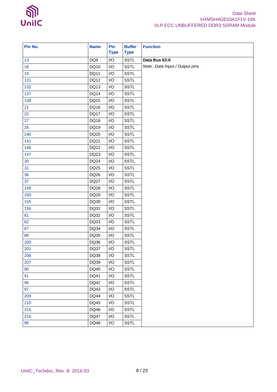

| Pin No. | <b>Name</b> | Pin<br><b>Type</b>      | <b>Buffer</b><br><b>Type</b> | <b>Function</b>                |
|---------|-------------|-------------------------|------------------------------|--------------------------------|
| 13      | DQ9         | $\mathsf{I}/\mathsf{O}$ | <b>SSTL</b>                  | Data Bus 63:0                  |
| 18      | DQ10        | I/O                     | <b>SSTL</b>                  | Note: Data Input / Output pins |
| 19      | DQ11        | $\mathsf{I}/\mathsf{O}$ | <b>SSTL</b>                  |                                |
| 131     | DQ12        | I/O                     | <b>SSTL</b>                  |                                |
| 132     | DQ13        | I/O                     | <b>SSTL</b>                  |                                |
| 137     | DQ14        | I/O                     | <b>SSTL</b>                  |                                |
| 138     | DQ15        | I/O                     | <b>SSTL</b>                  |                                |
| 21      | DQ16        | $\mathsf{I}/\mathsf{O}$ | <b>SSTL</b>                  |                                |
| 22      | <b>DQ17</b> | I/O                     | <b>SSTL</b>                  |                                |
| 27      | DQ18        | $\mathsf{I}/\mathsf{O}$ | <b>SSTL</b>                  |                                |
| 28      | DQ19        | $\mathsf{I}/\mathsf{O}$ | <b>SSTL</b>                  |                                |
| 140     | DQ20        | I/O                     | <b>SSTL</b>                  |                                |
| 141     | DQ21        | $\mathsf{I}/\mathsf{O}$ | <b>SSTL</b>                  |                                |
| 146     | DQ22        | I/O                     | <b>SSTL</b>                  |                                |
| 147     | DQ23        | $\mathsf{I}/\mathsf{O}$ | <b>SSTL</b>                  |                                |
| 30      | DQ24        | $\mathsf{I}/\mathsf{O}$ | <b>SSTL</b>                  |                                |
| 31      | DQ25        | I/O                     | <b>SSTL</b>                  |                                |
| 36      | DQ26        | $\mathsf{I}/\mathsf{O}$ | <b>SSTL</b>                  |                                |
| 37      | <b>DQ27</b> | I/O                     | <b>SSTL</b>                  |                                |
| 149     | DQ28        | $\mathsf{I}/\mathsf{O}$ | <b>SSTL</b>                  |                                |
| 150     | DQ29        | I/O                     | <b>SSTL</b>                  |                                |
| 155     | DQ30        | $\mathsf{I}/\mathsf{O}$ | <b>SSTL</b>                  |                                |
| 156     | DQ31        | I/O                     | <b>SSTL</b>                  |                                |
| 81      | DQ32        | I/O                     | <b>SSTL</b>                  |                                |
| 82      | DQ33        | I/O                     | <b>SSTL</b>                  |                                |
| 87      | DQ34        | I/O                     | <b>SSTL</b>                  |                                |
| 88      | DQ35        | I/O                     | <b>SSTL</b>                  |                                |
| 200     | DQ36        | $\mathsf{I}/\mathsf{O}$ | <b>SSTL</b>                  |                                |
| 201     | DQ37        | $\mathsf{I}/\mathsf{O}$ | SSTL                         |                                |
| 206     | DQ38        | I/O                     | <b>SSTL</b>                  |                                |
| 207     | DQ39        | I/O                     | <b>SSTL</b>                  |                                |
| 90      | DQ40        | I/O                     | <b>SSTL</b>                  |                                |
| 91      | DQ41        | I/O                     | <b>SSTL</b>                  |                                |
| 96      | DQ42        | I/O                     | <b>SSTL</b>                  |                                |
| 97      | DQ43        | I/O                     | SSTL                         |                                |
| 209     | DQ44        | I/O                     | <b>SSTL</b>                  |                                |
| 210     | <b>DQ45</b> | I/O                     | <b>SSTL</b>                  |                                |
| 215     | DQ46        | I/O                     | <b>SSTL</b>                  |                                |
| 216     | <b>DQ47</b> | I/O                     | SSTL                         |                                |
| 99      | DQ48        | I/O                     | <b>SSTL</b>                  |                                |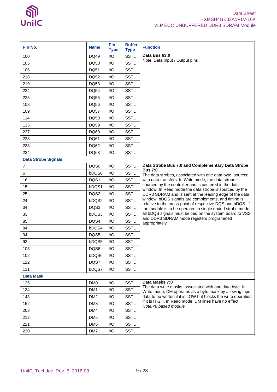

| Pin No.                    | <b>Name</b>     | Pin<br><b>Type</b> | <b>Buffer</b><br><b>Type</b> | <b>Function</b>                                                                                                     |
|----------------------------|-----------------|--------------------|------------------------------|---------------------------------------------------------------------------------------------------------------------|
| 100                        | DQ49            | I/O                | <b>SSTL</b>                  | Data Bus 63:0                                                                                                       |
| 105                        | DQ50            | I/O                | <b>SSTL</b>                  | Note: Data Input / Output pins                                                                                      |
| 106                        | <b>DQ51</b>     | I/O                | <b>SSTL</b>                  |                                                                                                                     |
| 218                        | <b>DQ52</b>     | I/O                | <b>SSTL</b>                  |                                                                                                                     |
| 219                        | DQ53            | I/O                | <b>SSTL</b>                  |                                                                                                                     |
| 224                        | <b>DQ54</b>     | I/O                | <b>SSTL</b>                  |                                                                                                                     |
| 225                        | <b>DQ55</b>     | I/O                | <b>SSTL</b>                  |                                                                                                                     |
| 108                        | DQ56            | I/O                | <b>SSTL</b>                  |                                                                                                                     |
| 109                        | DQ57            | I/O                | <b>SSTL</b>                  |                                                                                                                     |
| 114                        | <b>DQ58</b>     | I/O                | <b>SSTL</b>                  |                                                                                                                     |
| 115                        | DQ59            | I/O                | <b>SSTL</b>                  |                                                                                                                     |
| 227                        | DQ60            | I/O                | <b>SSTL</b>                  |                                                                                                                     |
| 228                        | DQ61            | I/O                | <b>SSTL</b>                  |                                                                                                                     |
| 233                        | DQ62            | I/O                | <b>SSTL</b>                  |                                                                                                                     |
| 234                        | DQ63            | I/O                | <b>SSTL</b>                  |                                                                                                                     |
| <b>Data Strobe Signals</b> |                 |                    |                              |                                                                                                                     |
| $\overline{7}$             | DQS0            | I/O                | <b>SSTL</b>                  | Data Strobe Bus 7:0 and Complementary Data Strobe                                                                   |
| 6                          | bDQS0           | I/O                | <b>SSTL</b>                  | <b>Bus 7:0</b><br>The data strobes, associated with one data byte, sourced                                          |
| 16                         | DQS1            | I/O                | <b>SSTL</b>                  | with data transfers. In Write mode, the data strobe is                                                              |
| 15                         | bDQS1           | I/O                | <b>SSTL</b>                  | sourced by the controller and is centered in the data<br>window. In Read mode the data strobe is sourced by the     |
| 25                         | DQS2            | I/O                | <b>SSTL</b>                  | DDR3 SDRAM and is sent at the leading edge of the data                                                              |
| 24                         | bDQS2           | I/O                | <b>SSTL</b>                  | window. bDQS signals are complements, and timing is<br>relative to the cross-point of respective DQS and bDQS. If   |
| 34                         | DQS3            | I/O                | <b>SSTL</b>                  | the module is to be operated in single ended strobe mode,                                                           |
| 33                         | bDQS3           | I/O                | <b>SSTL</b>                  | all bDQS signals must be tied on the system board to VSS                                                            |
| 85                         | DQS4            | I/O                | <b>SSTL</b>                  | and DDR3 SDRAM mode registers programmed<br>appropriately                                                           |
| 84                         | bDQS4           | I/O                | <b>SSTL</b>                  |                                                                                                                     |
| 94                         | DQS5            | I/O                | <b>SSTL</b>                  |                                                                                                                     |
| 93                         | bDQS5           | I/O                | <b>SSTL</b>                  |                                                                                                                     |
| 103                        | DQS6            | I/O                | <b>SSTL</b>                  |                                                                                                                     |
| 102                        | bDQS6           | I/O                | <b>SSTL</b>                  |                                                                                                                     |
| 112                        | DQS7            | I/O                | <b>SSTL</b>                  |                                                                                                                     |
| 111                        | bDQS7           | I/O                | <b>SSTL</b>                  |                                                                                                                     |
| <b>Data Mask</b>           |                 |                    |                              |                                                                                                                     |
| 125                        | DM <sub>0</sub> | I/O                | <b>SSTL</b>                  | Data Masks 7:0                                                                                                      |
| 134                        | DM1             | I/O                | <b>SSTL</b>                  | The data write masks, associated with one data byte. In<br>Write mode, DM operates as a byte mask by allowing input |
| 143                        | DM <sub>2</sub> | I/O                | <b>SSTL</b>                  | data to be written if it is LOW but blocks the write operation                                                      |
| 152                        | DM3             | I/O                | <b>SSTL</b>                  | if it is HIGH. In Read mode, DM lines have no effect.<br>Note:x8 based module                                       |
| 203                        | DM4             | I/O                | <b>SSTL</b>                  |                                                                                                                     |
| 212                        | DM <sub>5</sub> | I/O                | <b>SSTL</b>                  |                                                                                                                     |
| 221                        | DM <sub>6</sub> | I/O                | <b>SSTL</b>                  |                                                                                                                     |
| 230                        | DM7             | I/O                | <b>SSTL</b>                  |                                                                                                                     |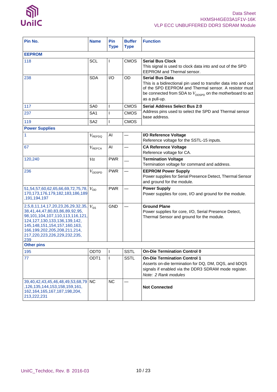

| Pin No.                                                                                                                                                                                                                                                                | <b>Name</b>                    | Pin<br><b>Type</b> | <b>Buffer</b><br><b>Type</b> | <b>Function</b>                                                                                                                                                                                                                             |
|------------------------------------------------------------------------------------------------------------------------------------------------------------------------------------------------------------------------------------------------------------------------|--------------------------------|--------------------|------------------------------|---------------------------------------------------------------------------------------------------------------------------------------------------------------------------------------------------------------------------------------------|
| <b>EEPROM</b>                                                                                                                                                                                                                                                          |                                |                    |                              |                                                                                                                                                                                                                                             |
| 118                                                                                                                                                                                                                                                                    | <b>SCL</b>                     |                    | <b>CMOS</b>                  | <b>Serial Bus Clock</b><br>This signal is used to clock data into and out of the SPD<br>EEPROM and Thermal sensor.                                                                                                                          |
| 238                                                                                                                                                                                                                                                                    | <b>SDA</b>                     | 1/O                | OD                           | <b>Serial Bus Data</b><br>This is a bidirectional pin used to transfer data into and out<br>of the SPD EEPROM and Thermal sensor. A resistor must<br>be connected from SDA to $V_{\text{DNSPD}}$ on the motherboard to act<br>as a pull-up. |
| 117                                                                                                                                                                                                                                                                    | SA <sub>0</sub>                | L                  | <b>CMOS</b>                  | <b>Serial Address Select Bus 2:0</b>                                                                                                                                                                                                        |
| 237                                                                                                                                                                                                                                                                    | SA <sub>1</sub>                |                    | <b>CMOS</b>                  | Address pins used to select the SPD and Thermal sensor<br>base address.                                                                                                                                                                     |
| 119                                                                                                                                                                                                                                                                    | SA <sub>2</sub>                | L                  | <b>CMOS</b>                  |                                                                                                                                                                                                                                             |
| <b>Power Supplies</b>                                                                                                                                                                                                                                                  |                                |                    |                              |                                                                                                                                                                                                                                             |
| 1                                                                                                                                                                                                                                                                      | $V_{\text{REFDQ}}$             | AI                 |                              | I/O Reference Voltage<br>Reference voltage for the SSTL-15 inputs.                                                                                                                                                                          |
| 67                                                                                                                                                                                                                                                                     | $V_{\scriptstyle{\sf{REFCA}}}$ | Al                 |                              | <b>CA Reference Voltage</b><br>Reference voltage for CA.                                                                                                                                                                                    |
| 120,240                                                                                                                                                                                                                                                                | Vtt                            | <b>PWR</b>         |                              | <b>Termination Voltage</b><br>Termination voltage for command and address.                                                                                                                                                                  |
| 236                                                                                                                                                                                                                                                                    | $V_{\text{DDSPD}}$             | <b>PWR</b>         |                              | <b>EEPROM Power Supply</b><br>Power supplies for Serial Presence Detect, Thermal Sensor<br>and ground for the module.                                                                                                                       |
| 51,54,57,60,62,65,66,69,72,75,78,<br>170, 173, 176, 179, 182, 183, 186, 189<br>,191,194,197                                                                                                                                                                            | $V_{DD}$                       | <b>PWR</b>         |                              | <b>Power Supply</b><br>Power supplies for core, I/O and ground for the module.                                                                                                                                                              |
| 2,5,8,11,14,17,20,23,26,29,32,35,<br>38,41,44,47,80,83,86,89,92,95,<br>98, 101, 104, 107, 110, 113, 116, 121,<br>124, 127, 130, 133, 136, 139, 142,<br>145, 148, 151, 154, 157, 160, 163,<br>166, 199, 202, 205, 208, 211, 214,<br>217,220,223,226,229,232,235,<br>239 | $V_{SS}$                       | <b>GND</b>         |                              | <b>Ground Plane</b><br>Power supplies for core, I/O, Serial Presence Detect,<br>Thermal Sensor and ground for the module.                                                                                                                   |
| <b>Other pins</b>                                                                                                                                                                                                                                                      |                                |                    |                              |                                                                                                                                                                                                                                             |
| 195                                                                                                                                                                                                                                                                    | ODT0                           | L                  | <b>SSTL</b>                  | <b>On-Die Termination Control 0</b>                                                                                                                                                                                                         |
| 77                                                                                                                                                                                                                                                                     | ODT <sub>1</sub>               | L                  | <b>SSTL</b>                  | <b>On-Die Termination Control 1</b><br>Asserts on-die termination for DQ, DM, DQS, and bDQS<br>signals if enabled via the DDR3 SDRAM mode register.<br>Note: 2 Rank modules                                                                 |
| 39,40,42,43,45,46,48,49,53,68,79 NC<br>, 126, 135, 144, 153, 158, 159, 161,<br>162, 164, 165, 167, 187, 198, 204,<br>213,222,231                                                                                                                                       |                                | <b>NC</b>          |                              | <b>Not Connected</b>                                                                                                                                                                                                                        |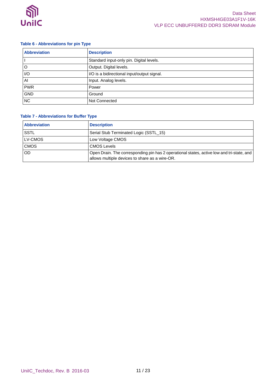

### <span id="page-10-0"></span>**Table 6 - Abbreviations for pin Type**

| <b>Abbreviation</b> | <b>Description</b>                          |  |  |  |  |  |
|---------------------|---------------------------------------------|--|--|--|--|--|
|                     | Standard input-only pin. Digital levels.    |  |  |  |  |  |
| ١O                  | Output. Digital levels.                     |  |  |  |  |  |
| I/O                 | I/O is a bidirectional input/output signal. |  |  |  |  |  |
| AI                  | Input. Analog levels.                       |  |  |  |  |  |
| <b>PWR</b>          | Power                                       |  |  |  |  |  |
| <b>GND</b>          | Ground                                      |  |  |  |  |  |
| <b>NC</b>           | Not Connected                               |  |  |  |  |  |

### <span id="page-10-1"></span>**Table 7 - Abbreviations for Buffer Type**

| <b>Abbreviation</b> | <b>Description</b>                                                                                                                          |
|---------------------|---------------------------------------------------------------------------------------------------------------------------------------------|
| <b>SSTL</b>         | Serial Stub Terminated Logic (SSTL_15)                                                                                                      |
| LV-CMOS             | Low Voltage CMOS                                                                                                                            |
| <b>CMOS</b>         | <b>CMOS Levels</b>                                                                                                                          |
| <b>IOD</b>          | Open Drain. The corresponding pin has 2 operational states, active low and tri-state, and<br>allows multiple devices to share as a wire-OR. |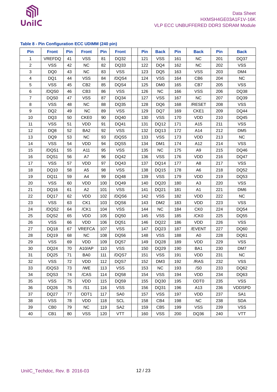

### <span id="page-11-0"></span>**Table 8 - Pin Configuration ECC UDIMM (240 pin)**

| Pin              | <b>Front</b>     | Pin | <b>Front</b>     | <b>Pin</b> | <b>Front</b>    | Pin | <b>Back</b>     | Pin | <b>Back</b>      | Pin | <b>Back</b>     |
|------------------|------------------|-----|------------------|------------|-----------------|-----|-----------------|-----|------------------|-----|-----------------|
| 1                | <b>VREFDQ</b>    | 41  | <b>VSS</b>       | 81         | DQ32            | 121 | <b>VSS</b>      | 161 | <b>NC</b>        | 201 | DQ37            |
| $\boldsymbol{2}$ | <b>VSS</b>       | 42  | <b>NC</b>        | 82         | DQ33            | 122 | DQ4             | 162 | <b>NC</b>        | 202 | <b>VSS</b>      |
| 3                | DQ <sub>0</sub>  | 43  | <b>NC</b>        | 83         | <b>VSS</b>      | 123 | DQ <sub>5</sub> | 163 | <b>VSS</b>       | 203 | DM4             |
| 4                | DQ1              | 44  | <b>VSS</b>       | 84         | /DQS4           | 124 | <b>VSS</b>      | 164 | CB <sub>6</sub>  | 204 | $NC$            |
| 5                | <b>VSS</b>       | 45  | CB <sub>2</sub>  | 85         | DQS4            | 125 | DM <sub>0</sub> | 165 | CB7              | 205 | <b>VSS</b>      |
| 6                | /DQS0            | 46  | CB <sub>3</sub>  | 86         | <b>VSS</b>      | 126 | <b>NC</b>       | 166 | <b>VSS</b>       | 206 | DQ38            |
| $\overline{7}$   | DQS0             | 47  | <b>VSS</b>       | 87         | <b>DQ34</b>     | 127 | <b>VSS</b>      | 167 | <b>NC</b>        | 207 | DQ39            |
| 8                | <b>VSS</b>       | 48  | <b>NC</b>        | 88         | DQ35            | 128 | DQ6             | 168 | /RESET           | 208 | <b>VSS</b>      |
| 9                | DQ <sub>2</sub>  | 49  | <b>NC</b>        | 89         | <b>VSS</b>      | 129 | DQ7             | 169 | CKE1             | 209 | <b>DQ44</b>     |
| 10               | DQ3              | 50  | CKE0             | 90         | DQ40            | 130 | <b>VSS</b>      | 170 | <b>VDD</b>       | 210 | DQ45            |
| 11               | <b>VSS</b>       | 51  | <b>VDD</b>       | 91         | DQ41            | 131 | DQ12            | 171 | A15              | 211 | <b>VSS</b>      |
| 12               | DQ8              | 52  | BA <sub>2</sub>  | 92         | <b>VSS</b>      | 132 | DQ13            | 172 | A14              | 212 | DM <sub>5</sub> |
| 13               | DQ <sub>9</sub>  | 53  | <b>NC</b>        | 93         | /DQS5           | 133 | <b>VSS</b>      | 173 | VDD              | 213 | NC              |
| 14               | <b>VSS</b>       | 54  | <b>VDD</b>       | 94         | DQS5            | 134 | DM <sub>1</sub> | 174 | A12              | 214 | <b>VSS</b>      |
| 15               | /DQS1            | 55  | A11              | 95         | <b>VSS</b>      | 135 | <b>NC</b>       | 175 | A <sub>9</sub>   | 215 | DQ46            |
| 16               | DQS1             | 56  | A7               | 96         | DQ42            | 136 | <b>VSS</b>      | 176 | VDD              | 216 | <b>DQ47</b>     |
| 17               | <b>VSS</b>       | 57  | <b>VDD</b>       | 97         | DQ43            | 137 | <b>DQ14</b>     | 177 | A8               | 217 | <b>VSS</b>      |
| 18               | DQ10             | 58  | A <sub>5</sub>   | 98         | <b>VSS</b>      | 138 | DQ15            | 178 | A6               | 218 | DQ52            |
| 19               | DQ11             | 59  | A4               | 99         | DQ48            | 139 | <b>VSS</b>      | 179 | <b>VDD</b>       | 219 | DQ53            |
| 20               | <b>VSS</b>       | 60  | <b>VDD</b>       | 100        | DQ49            | 140 | DQ20            | 180 | A <sub>3</sub>   | 220 | <b>VSS</b>      |
| 21               | DQ16             | 61  | A2               | 101        | <b>VSS</b>      | 141 | DQ21            | 181 | A <sub>1</sub>   | 221 | DM <sub>6</sub> |
| 22               | DQ17             | 62  | <b>VDD</b>       | 102        | /DQS6           | 142 | <b>VSS</b>      | 182 | <b>VDD</b>       | 222 | NC              |
| 23               | <b>VSS</b>       | 63  | CK1              | 103        | DQS6            | 143 | DM <sub>2</sub> | 183 | <b>VDD</b>       | 223 | <b>VSS</b>      |
| 24               | /DQS2            | 64  | /CK1             | 104        | <b>VSS</b>      | 144 | <b>NC</b>       | 184 | CK <sub>0</sub>  | 224 | <b>DQ54</b>     |
| 25               | DQS2             | 65  | <b>VDD</b>       | 105        | <b>DQ50</b>     | 145 | <b>VSS</b>      | 185 | /CK0             | 225 | DQ55            |
| 26               | <b>VSS</b>       | 66  | <b>VDD</b>       | 106        | <b>DQ51</b>     | 146 | <b>DQ22</b>     | 186 | <b>VDD</b>       | 226 | <b>VSS</b>      |
| 27               | DQ18             | 67  | <b>VREFCA</b>    | 107        | <b>VSS</b>      | 147 | DQ23            | 187 | /EVENT           | 227 | DQ60            |
| 28               | DQ19             | 68  | <b>NC</b>        | 108        | DQ56            | 148 | <b>VSS</b>      | 188 | A <sub>0</sub>   | 228 | DQ61            |
| 29               | <b>VSS</b>       | 69  | <b>VDD</b>       | 109        | <b>DQ57</b>     | 149 | DQ28            | 189 | <b>VDD</b>       | 229 | <b>VSS</b>      |
| 30               | DQ24             | 70  | A10/AP           | 110        | <b>VSS</b>      | 150 | DQ29            | 190 | BA1              | 230 | DM7             |
| 31               | DQ25             | 71  | BA0              | 111        | /DQS7           | 151 | <b>VSS</b>      | 191 | <b>VDD</b>       | 231 | <b>NC</b>       |
| 32               | <b>VSS</b>       | 72  | <b>VDD</b>       | 112        | DQS7            | 152 | DM <sub>3</sub> | 192 | /RAS             | 232 | <b>VSS</b>      |
| 33               | /DQS3            | 73  | /WE              | 113        | <b>VSS</b>      | 153 | <b>NC</b>       | 193 | /S <sub>0</sub>  | 233 | DQ62            |
| 34               | DQS3             | 74  | /CAS             | 114        | <b>DQ58</b>     | 154 | <b>VSS</b>      | 194 | <b>VDD</b>       | 234 | DQ63            |
| 35               | <b>VSS</b>       | 75  | <b>VDD</b>       | 115        | <b>DQ59</b>     | 155 | DQ30            | 195 | ODT <sub>0</sub> | 235 | <b>VSS</b>      |
| 36               | DQ26             | 76  | /S1              | 116        | <b>VSS</b>      | 156 | DQ31            | 196 | A13              | 236 | <b>VDDSPD</b>   |
| 37               | DQ27             | 77  | ODT <sub>1</sub> | 117        | SA0             | 157 | <b>VSS</b>      | 197 | <b>VDD</b>       | 237 | SA <sub>1</sub> |
| 38               | <b>VSS</b>       | 78  | <b>VDD</b>       | 118        | <b>SCL</b>      | 158 | CB4             | 198 | <b>NC</b>        | 238 | <b>SDA</b>      |
| 39               | C <sub>B</sub> 0 | 79  | <b>NC</b>        | 119        | SA <sub>2</sub> | 159 | CB <sub>5</sub> | 199 | <b>VSS</b>       | 239 | VSS             |
| 40               | CB1              | 80  | <b>VSS</b>       | 120        | <b>VTT</b>      | 160 | <b>VSS</b>      | 200 | DQ36             | 240 | <b>VTT</b>      |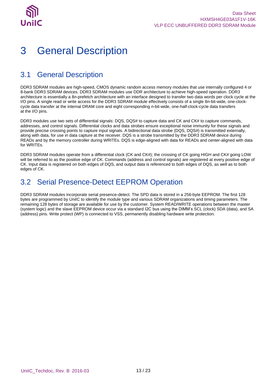

# <span id="page-12-0"></span>3 General Description

### <span id="page-12-1"></span>3.1 General Description

DDR3 SDRAM modules are high-speed, CMOS dynamic random access memory modules that use internally configured 4 or 8-bank DDR3 SDRAM devices. DDR3 SDRAM modules use DDR architecture to achieve high-speed operation. DDR3 architecture is essentially a 8*n*-prefetch architecture with an interface designed to transfer two data words per clock cycle at the I/O pins. A single read or write access for the DDR3 SDRAM module effectively consists of a single 8*n*-bit-wide, one-clockcycle data transfer at the internal DRAM core and eight corresponding *n*-bit-wide, one-half-clock-cycle data transfers at the I/O pins.

DDR3 modules use two sets of differential signals: DQS, DQS# to capture data and CK and CK# to capture commands, addresses, and control signals. Differential clocks and data strobes ensure exceptional noise immunity for these signals and provide precise crossing points to capture input signals. A bidirectional data strobe (DQS, DQS#) is transmitted externally, along with data, for use in data capture at the receiver. DQS is a strobe transmitted by the DDR3 SDRAM device during READs and by the memory controller during WRITEs. DQS is edge-aligned with data for READs and center-aligned with data for WRITEs.

DDR3 SDRAM modules operate from a differential clock (CK and CK#); the crossing of CK going HIGH and CK# going LOW will be referred to as the positive edge of CK. Commands (address and control signals) are registered at every positive edge of CK. Input data is registered on both edges of DQS, and output data is referenced to both edges of DQS, as well as to both edges of CK.

## <span id="page-12-2"></span>3.2 Serial Presence-Detect EEPROM Operation

DDR3 SDRAM modules incorporate serial presence-detect. The SPD data is stored in a 256-byte EEPROM. The first 128 bytes are programmed by UniIC to identify the module type and various SDRAM organizations and timing parameters. The remaining 128 bytes of storage are available for use by the customer. System READ/WRITE operations between the master (system logic) and the slave EEPROM device occur via a standard I2C bus using the DIMM's SCL (clock) SDA (data), and SA (address) pins. Write protect (WP) is connected to VSS, permanently disabling hardware write protection.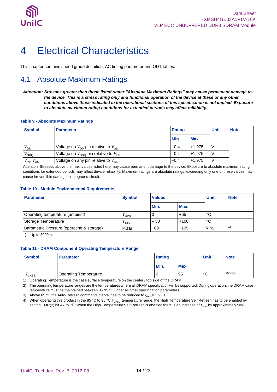

## <span id="page-13-0"></span>4 Electrical Characteristics

<span id="page-13-1"></span>This chapter contains speed grade definition, AC timing parameter and ODT tables.

## 4.1 Absolute Maximum Ratings

*Attention: Stresses greater than those listed under "Absolute Maximum Ratings" may cause permanent damage to the device. This is a stress rating only and functional operation of the device at these or any other conditions above those indicated in the operational sections of this specification is not implied. Exposure to absolute maximum rating conditions for extended periods may affect reliability.*

### <span id="page-13-2"></span>**Table 9 - Absolute Maximum Ratings**

| <b>Symbol</b>        | <b>Parameter</b>                              | Rating |          | Unit | <b>Note</b> |
|----------------------|-----------------------------------------------|--------|----------|------|-------------|
|                      |                                               | Min.   | Max.     |      |             |
| $V_{\text{DD}}$      | Voltage on $V_{DD}$ pin relative to $V_{SS}$  | $-0.4$ | $+1.975$ |      |             |
| $V_{DDQ}$            | Voltage on $V_{DDO}$ pin relative to $V_{SS}$ | $-0.4$ | $+1.975$ |      |             |
| $V_{IN}$ , $V_{OUT}$ | Voltage on any pin relative to $V_{SS}$       | $-0.4$ | $+1.975$ |      |             |

Attention: Stresses above the max. values listed here may cause permanent damage to the device. Exposure to absolute maximum rating conditions for extended periods may affect device reliability. Maximum ratings are absolute ratings; exceeding only one of these values may cause irreversible damage to integrated circuit.

### <span id="page-13-3"></span>**Table 10 - Module Environmental Requirements**

| <b>Parameter</b>                          | <b>Symbol</b> | <b>Values</b> |        | <b>Unit</b> | <b>Note</b> |
|-------------------------------------------|---------------|---------------|--------|-------------|-------------|
|                                           |               | Min.          | Max.   |             |             |
| Operating temperature (ambient)           | $I$ OPR       |               | $+65$  | C           |             |
| Storage Temperature                       | $1$ STG       | $-50$         | $+100$ | C           |             |
| Barometric Pressure (operating & storage) | PBar          | +69           | $+105$ | kPa         |             |

1) Up to 3000m.

### <span id="page-13-4"></span>**Table 11 - DRAM Component Operating Temperature Range**

| <b>Symbol</b>                    | <b>Parameter</b>             | <b>Rating</b> |      | <b>Unit</b>  | <b>Note</b> |
|----------------------------------|------------------------------|---------------|------|--------------|-------------|
|                                  |                              | Min.          | Max. |              |             |
| $\mathbf{r}$<br>$^{\prime}$ CASE | <b>Operating Temperature</b> |               | -95  | $\circ$<br>ັ | 1)2)3)4)    |

1) Operating Temperature is the case surface temperature on the center / top side of the DRAM.

2) The operating temperature ranges are the temperatures where all DRAM specification will be supported. During operation, the DRAM case temperature must be maintained between 0 - 95 °C under all other specification parameters.

3) Above 85 °C the Auto-Refresh command interval has to be reduced to  $t_{REF}$  = 3.9 µs

4) When operating this product in the 85 °C to 95 °C T<sub>CASE</sub> temperature range, the High Temperature Self Refresh has to be enabled by setting EMR(2) bit A7 to "1". When the High Temperature Self Refresh is enabled there is an increase of *I<sub>DD6</sub>* by approximately 50%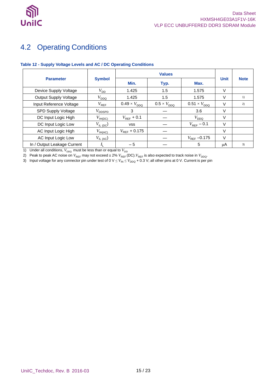

## <span id="page-14-0"></span>4.2 Operating Conditions

### <span id="page-14-1"></span>**Table 12 - Supply Voltage Levels and AC / DC Operating Conditions**

| <b>Parameter</b>             | <b>Symbol</b>                           | Min.                  | Typ.                        | Max.                  | <b>Unit</b> | <b>Note</b> |
|------------------------------|-----------------------------------------|-----------------------|-----------------------------|-----------------------|-------------|-------------|
| Device Supply Voltage        | $V_{\mathsf{DD}}$                       | 1.425                 | 1.5                         | 1.575                 | V           |             |
| <b>Output Supply Voltage</b> | $V_{\mathsf{DDQ}}$                      | 1.425                 | 1.5                         | 1.575                 | V           | 1)          |
| Input Reference Voltage      | $V^{\vphantom{\dagger}}_{\mathsf{REF}}$ | $0.49 \times V_{DDQ}$ | $0.5 \times V_{\text{DDQ}}$ | $0.51 \times V_{DDQ}$ | V           | 2)          |
| SPD Supply Voltage           | $V_{\mathsf{DDSPD}}$                    | 3                     |                             | 3.6                   | V           |             |
| DC Input Logic High          | $V_{\mathsf{IH}(\mathsf{DC})}$          | $V_{REF}$ + 0.1       |                             | $V_{\text{DDQ}}$      | V           |             |
| DC Input Logic Low           | $V_{\text{IL (DC}}$                     | <b>VSS</b>            |                             | $V_{REF}$ – 0.1       | $\vee$      |             |
| AC Input Logic High          | $V_{\text{IH(AC)}}$                     | $V_{REF}$ + 0.175     |                             |                       | V           |             |
| AC Input Logic Low           | $V_{\text{IL (AC)}}$                    |                       |                             | $V_{REF}$ –0.175      | $\vee$      |             |
| In / Output Leakage Current  |                                         | $-5$                  |                             | 5                     | μA          | 3)          |

1) Under all conditions,  $V_{DDQ}$  must be less than or equal to  $V_{DD}$ 

2) Peak to peak AC noise on  $V_{\sf{REF}}$  may not exceed ± 2%  $V_{\sf{REF}}$  (DC). $V_{\sf{REF}}$  is also expected to track noise in  $V_{\sf{DDQ}}$ .

3) Input voltage for any connector pin under test of 0 V  $\leq$   $V_{\sf IN}\leq$   $V_{\sf DDQ}$  + 0.3 V; all other pins at 0 V. Current is per pin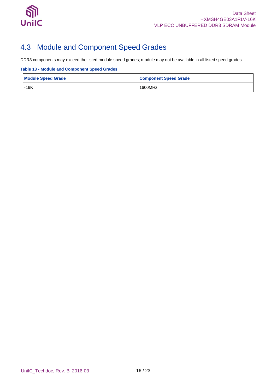

## <span id="page-15-0"></span>4.3 Module and Component Speed Grades

DDR3 components may exceed the listed module speed grades; module may not be available in all listed speed grades

### <span id="page-15-1"></span>**Table 13 - Module and Component Speed Grades**

| <b>Module Speed Grade</b> | <b>Component Speed Grade</b> |
|---------------------------|------------------------------|
| $-16K$                    | 1600MHz                      |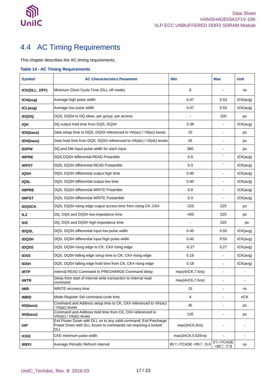

## <span id="page-16-0"></span>4.4 AC Timing Requirements

This chapter describes the AC timing requirements.

### <span id="page-16-1"></span>**Table 14 - AC Timing Requirements**

| <b>Symbol</b> | <b>AC Characteristics Parameter</b>                                                                                                      | <b>Min</b>                                                                                                            | <b>Max</b>                                                | <b>Unit</b> |
|---------------|------------------------------------------------------------------------------------------------------------------------------------------|-----------------------------------------------------------------------------------------------------------------------|-----------------------------------------------------------|-------------|
| tCK(DLL_OFF)  | Minimum Clock Cycle Time (DLL off mode)                                                                                                  | 8                                                                                                                     |                                                           | ns          |
| tCH(avg)      | Average high pulse width                                                                                                                 | 0.47                                                                                                                  | 0.53                                                      | tCK(avg)    |
| tCL(avg)      | Average low pulse width                                                                                                                  | 0.47                                                                                                                  | 0.53                                                      | tCK(avg)    |
| tDQSQ         | DQS, DQS# to DQ skew, per group, per access                                                                                              |                                                                                                                       | 100                                                       | ps          |
| tQH           | DQ output hold time from DQS, DQS#                                                                                                       | 0.38                                                                                                                  |                                                           | tCK(avg)    |
| tDS(base)     | Data setup time to DQS, DQS# referenced to Vih(ac) / Vil(ac) levels                                                                      | 10                                                                                                                    | $\blacksquare$                                            | ps          |
| tDH(base)     | Data hold time from DQS, DQS# referenced to Vih(dc) / Vil(dc) levels                                                                     | 45                                                                                                                    |                                                           | ps          |
| tDIPW         | DQ and DM Input pulse width for each input                                                                                               | 360                                                                                                                   | $\overline{\phantom{a}}$                                  | ps          |
| tRPRE         | DQS, DQS# differential READ Preamble                                                                                                     | 0.9                                                                                                                   | $\overline{\phantom{a}}$                                  | tCK(avg)    |
| tRPST         | DQS, DQS# differential READ Postamble                                                                                                    | 0.3                                                                                                                   | $\overline{\phantom{a}}$                                  | tCK(avg)    |
| tQSH          | DQS, DQS# differential output high time                                                                                                  | 0.40                                                                                                                  | $\overline{a}$                                            | tCK(avg)    |
| tQSL          | DQS, DQS# differential output low time                                                                                                   | 0.40                                                                                                                  | $\blacksquare$                                            | tCK(avg)    |
| tWPRE         | DQS, DQS# differential WRITE Preamble                                                                                                    | 0.9                                                                                                                   | $\overline{a}$                                            | tCK(avg)    |
| tWPST         | DQS. DQS# differential WRITE Postamble                                                                                                   | 0.3                                                                                                                   |                                                           | tCK(avg)    |
| <b>tDQSCK</b> | DQS, DQS# rising edge output access time from rising CK, CK#                                                                             | $-225$                                                                                                                | 225                                                       | ps          |
| tLZ           | DQ, DQS and DQS# low-impedance time                                                                                                      | $-450$                                                                                                                | 225                                                       | ps          |
| tHZ           | DQ, DQS and DQS# high-impedance time                                                                                                     |                                                                                                                       | 225                                                       | ps          |
| tDQSL         | DQS, DQS# differential input low pulse width                                                                                             | 0.45                                                                                                                  | 0.55                                                      | tCK(avg)    |
| tDQSH         | DQS, DQS# differential input high pulse width                                                                                            | 0.45                                                                                                                  | 0.55                                                      | tCK(avg)    |
| tDQSS         | DQS, DQS# rising edge to CK, CK# rising edge                                                                                             | $-0.27$                                                                                                               | 0.27                                                      | tCK(avg)    |
| tDSS          | DQS, DQS# falling edge setup time to CK, CK# rising edge                                                                                 | 0.18                                                                                                                  |                                                           | tCK(avg)    |
| tDSH          | DQS, DQS# falling edge hold time from CK, CK# rising edge                                                                                | 0.18                                                                                                                  |                                                           | tCK(avg)    |
| tRTP          | Internal READ Command to PRECHARGE Command delay                                                                                         | max(4nCK, 7.5ns)                                                                                                      | $\blacksquare$                                            |             |
| tWTR          | Delay from start of internal write transaction to internal read<br>command                                                               | max(4nCK,7.5ns)                                                                                                       |                                                           |             |
| tWR           | <b>WRITE</b> recovery time                                                                                                               | 15                                                                                                                    |                                                           | ns          |
| tMRD          | Mode Register Set command cycle time                                                                                                     | 4                                                                                                                     |                                                           | nCK         |
| tIS(base)     | Command and Address setup time to CK, CK# referenced to Vih(ac)<br>/ Vil(ac) levels                                                      | 45                                                                                                                    |                                                           | ps          |
| tlH(base)     | Command and Address hold time from CK, CK# referenced to<br>Vih(dc) / Vil(dc) levels                                                     | 120                                                                                                                   | $\overline{\phantom{a}}$                                  | ps          |
| tXP           | Exit Power Down with DLL on to any valid command; Exit Precharge<br>Power Down with DLL frozen to commands not requiring a locked<br>DLL | max(3nCK,6ns)                                                                                                         |                                                           |             |
| tCKE          | CKE minimum pulse width                                                                                                                  | max(3nCK,5.625ns)                                                                                                     | $\overline{\phantom{a}}$                                  | ÷.          |
| tREFI         | Average Periodic Refresh interval                                                                                                        | 85℃ <tcase 3.9<="" <95℃="" th=""><th>0°C<tcase<br>&lt;<math>85^{\circ}</math> (7.8</tcase<br></th><th>us</th></tcase> | 0°C <tcase<br>&lt;<math>85^{\circ}</math> (7.8</tcase<br> | us          |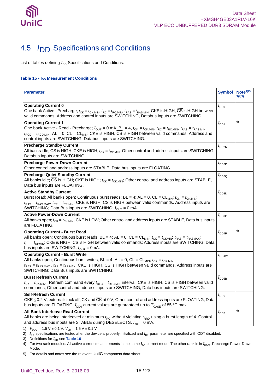

## <span id="page-17-0"></span>4.5 *I*DD Specifications and Conditions

List of tables defining  $I_{\text{DD}}$  Specifications and Conditions.

### <span id="page-17-1"></span>**Table 15 - I<sub>DD</sub> Measurement Conditions**

| <b>Parameter</b>                                                                                                                                                                                                                                                                                                                                                                                 | <b>Symbol</b>      | Note <sup>1/2</sup><br>3)4)5) |
|--------------------------------------------------------------------------------------------------------------------------------------------------------------------------------------------------------------------------------------------------------------------------------------------------------------------------------------------------------------------------------------------------|--------------------|-------------------------------|
| <b>Operating Current 0</b><br>One bank Active - Precharge; $t_{\sf CK}$ = $t_{\sf CKMMN}$ , $t_{\sf RC}$ = $t_{\sf RCMMN}$ , $t_{\sf RAS}$ = $t_{\sf RASMMN}$ , CKE is HIGH, $\overline{\sf CS}$ is HIGH between<br>valid commands. Address and control inputs are SWITCHING, Databus inputs are SWITCHING.                                                                                      | $I_{\mathsf{DD}0}$ |                               |
| <b>Operating Current 1</b><br>One bank Active - Read - Precharge; $I_{\text{OUT}} = 0$ mA, $BL = 4$ , $t_{CK} = t_{CK, MIN}$ , $t_{RC} = t_{RC, MIN}$ , $t_{RAS} = t_{RAS, MIN}$ ,<br>$t_{\text{RCD}} = t_{\text{RCD,MIN}}$ , AL = 0, CL = CL <sub>MIN</sub> ; CKE is HIGH, CS is HIGH between valid commands. Address and<br>control inputs are SWITCHING, Databus inputs are SWITCHING.        | $I_{\mathsf{DD1}}$ | 6)                            |
| Precharge Standby Current<br>All banks idle; CS is HIGH; CKE is HIGH; $t_{CK} = t_{CKMIN}$ ; Other control and address inputs are SWITCHING,<br>Databus inputs are SWITCHING.                                                                                                                                                                                                                    | $I_{DD2N}$         |                               |
| <b>Precharge Power-Down Current</b><br>Other control and address inputs are STABLE, Data bus inputs are FLOATING.                                                                                                                                                                                                                                                                                | $I_{\text{DD2P}}$  |                               |
| <b>Precharge Quiet Standby Current</b><br>All banks idle; CS is HIGH; CKE is HIGH; $t_{CK} = t_{CKMIN}$ ; Other control and address inputs are STABLE,<br>Data bus inputs are FLOATING.                                                                                                                                                                                                          | $I_{DD2Q}$         |                               |
| <b>Active Standby Current</b><br>Burst Read: All banks open; Continuous burst reads; BL = 4; AL = 0, CL = CL <sub>MIN</sub> ; $t_{CK} = t_{CK,MIN}$ ;<br>$t_{\text{RAS}} = t_{\text{RAS.MAX}}, t_{\text{RP}} = t_{\text{RP.MIN}}$ ; CKE is HIGH, $\overline{\text{CS}}$ is HIGH between valid commands. Address inputs are<br>SWITCHING; Data Bus inputs are SWITCHING; $I_{\text{OUT}} = 0$ mA. | $I_{\text{DD3N}}$  |                               |
| <b>Active Power-Down Current</b><br>All banks open; $t_{CK} = t_{CK,MIN}$ , CKE is LOW; Other control and address inputs are STABLE, Data bus inputs<br>are FLOATING.                                                                                                                                                                                                                            | $I_{\text{DD3P}}$  |                               |
| <b>Operating Current - Burst Read</b><br>All banks open; Continuous burst reads; BL = 4; AL = 0, CL = CL <sub>MIN</sub> ; $t_{CK} = t_{CKMIN}$ ; $t_{RAS} = t_{RASMAX}$ ;<br>t <sub>RP</sub> = t <sub>RPMIN</sub> ; CKE is HIGH, CS is HIGH between valid commands; Address inputs are SWITCHING; Data<br>bus inputs are SWITCHING; $I_{\text{OUT}} = 0$ mA.                                     | $I_{\text{DD4R}}$  | 6)                            |
| <b>Operating Current - Burst Write</b><br>All banks open; Continuous burst writes; BL = 4; AL = 0, CL = CL <sub>MIN</sub> ; $t_{CK} = t_{CK,MIN}$ ;<br>$t_{\text{RAS}} = t_{\text{RAS} \text{MAX}}$ , $t_{\text{RP}} = t_{\text{RP} \text{MAX}}$ ; CKE is HIGH, CS is HIGH between valid commands. Address inputs are<br>SWITCHING; Data Bus inputs are SWITCHING;                               | $I_{DD4W}$         |                               |
| <b>Burst Refresh Current</b><br>$t_{\text{CK}}$ = $t_{\text{CK,MIN}}$ . Refresh command every $t_{\text{RFC}}$ = $t_{\text{RFC,MIN}}$ interval, CKE is HIGH, CS is HIGH between valid<br>commands, Other control and address inputs are SWITCHING, Data bus inputs are SWITCHING.                                                                                                                | $I_{\text{DDSB}}$  |                               |
| Self-Refresh Current<br>CKE $\leq$ 0.2 V; external clock off, CK and $\overline{\text{CK}}$ at 0 V; Other control and address inputs are FLOATING, Data<br>bus inputs are FLOATING. $I_{\text{DD6}}$ current values are guaranteed up to $T_{\text{CASE}}$ of 85 °C max.                                                                                                                         | $I_{\mathsf{DD6}}$ |                               |
| All Bank Interleave Read Current<br>All banks are being interleaved at minimum $t_{RC}$ without violating $t_{RRD}$ using a burst length of 4. Control<br>and address bus inputs are STABLE during DESELECTS. $I_{out} = 0$ mA.                                                                                                                                                                  | $I_{DD7}$          | 6)                            |

1)  $V_{DDQ} = 1.5 \text{ V } \pm 0.1 \text{ V}; V_{DD} = 1.5 \text{ V } \pm 0.1 \text{ V}$ 

2)  $I_{DD}$  specifications are tested after the device is properly initialized and  $I_{DD}$  parameter are specified with ODT disabled.

3) Definitions for  $I_{DD}$  see [Table 16](#page-18-0)

4) For two rank modules: All active current measurements in the same  $I_{DD}$  current mode. The other rank is in  $I_{DD2P}$  Precharge Power-Down Mode.

5) For details and notes see the relevant UniIC component data sheet.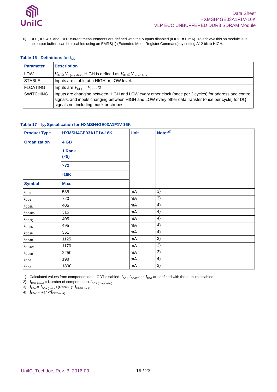

6) IDD1, IDD4R and IDD7 current measurements are defined with the outputs disabled (IOUT = 0 mA). To achieve this on module level the output buffers can be disabled using an EMRS(1) (Extended Mode Register Command) by setting A12 bit to HIGH.

### <span id="page-18-0"></span>**Table 16 - Definitions for I<sub>DD</sub>**

| <b>Parameter</b> | <b>Description</b>                                                                                                                                                                                                                                      |
|------------------|---------------------------------------------------------------------------------------------------------------------------------------------------------------------------------------------------------------------------------------------------------|
| <b>LOW</b>       | $V_{\text{IN}} \leq V_{\text{IL(ac).MAX}}$ , HIGH is defined as $V_{\text{IN}} \geq V_{\text{IH(ac).MIN}}$                                                                                                                                              |
| <b>STABLE</b>    | Inputs are stable at a HIGH or LOW level.                                                                                                                                                                                                               |
| <b>FLOATING</b>  | Inputs are $V_{\text{REF}} = V_{\text{DDO}}/2$                                                                                                                                                                                                          |
| <b>SWITCHING</b> | Inputs are changing between HIGH and LOW every other clock (once per 2 cycles) for address and control<br>signals, and inputs changing between HIGH and LOW every other data transfer (once per cycle) for DQ<br>signals not including mask or strobes. |

### <span id="page-18-1"></span>**Table 17 - IDD Specification for HXMSH4GE03A1F1V-16K**

| <b>Product Type</b> | HXMSH4GE03A1F1V-16K | <b>Unit</b> | Note <sup>1/2</sup> |
|---------------------|---------------------|-------------|---------------------|
| <b>Organization</b> | 4 GB                |             |                     |
|                     | 1 Rank<br>(x8)      |             |                     |
|                     | $\times 72$         |             |                     |
|                     | $-16K$              |             |                     |
| <b>Symbol</b>       | Max.                |             |                     |
| $I_{DD0}$           | 585                 | mA          | 3)                  |
| $I_{DD1}$           | 720                 | mA          | 3)                  |
| $I_{DD2N}$          | 405                 | mA          | 4)                  |
| $I_{DD2P0}$         | 315                 | mA          | 4)                  |
| $I_{DD2Q}$          | 405                 | mA          | 4)                  |
| $I_{DD3N}$          | 495                 | mA          | 4)                  |
| $I_{\text{DD3P}}$   | 351                 | mA          | 4)                  |
| $I_{\text{DD4R}}$   | 1125                | mA          | 3)                  |
| $I_{DD4W}$          | 1170                | mA          | 3)                  |
| $I_{\text{DDB}}$    | 2250                | mA          | 3)                  |
| $I_{\text{DD6}}$    | 198                 | mA          | 4)                  |
| $I_{DD7}$           | 1890                | mA          | 3)                  |

1) Calculated values from component data. ODT disabled.  $I_{DD1}$ ,  $I_{DD4R}$  and  $I_{DD7}$  are defined with the outputs disabled.

2)  $I_{\text{DDX (rank)}} =$  Number of components x  $I_{\text{DDX (component)}}$ 

3)  $I_{\text{DDX}} = I_{\text{DDX (rank)}} + (\text{Rank-1})^* I_{\text{DD2P (rank)}}$ 

4)  $I_{\text{DDX}} = \text{Rank}^* I_{\text{DDX (rank)}}$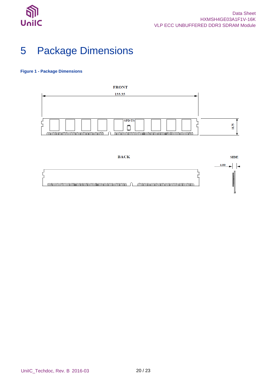

# <span id="page-19-0"></span>5 Package Dimensions

### <span id="page-19-1"></span>**Figure 1 - Package Dimensions**



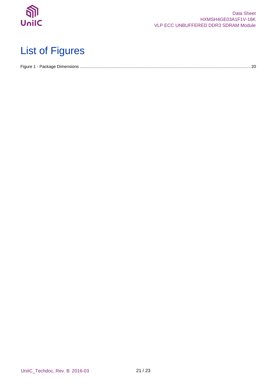

# <span id="page-20-0"></span>List of Figures

|--|--|--|--|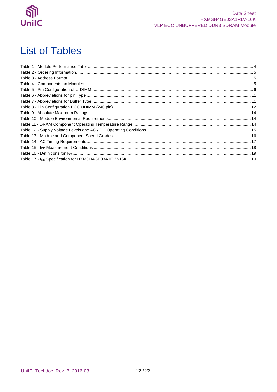

# <span id="page-21-0"></span>**List of Tables**